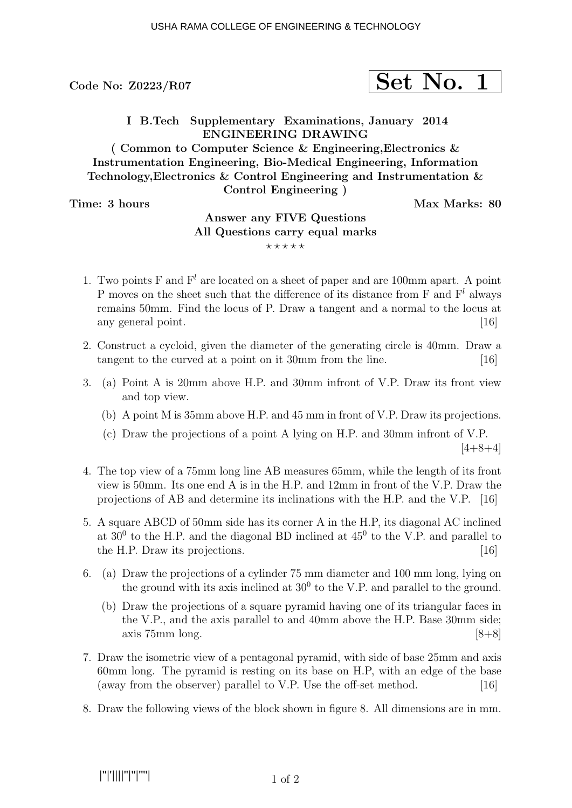# Code No:  $20223/R07$  Set No. 1

I B.Tech Supplementary Examinations, January 2014 ENGINEERING DRAWING

( Common to Computer Science & Engineering,Electronics & Instrumentation Engineering, Bio-Medical Engineering, Information Technology,Electronics & Control Engineering and Instrumentation & Control Engineering )

Time: 3 hours Max Marks: 80

## Answer any FIVE Questions All Questions carry equal marks  $***$ \*\*

- 1. Two points F and  $F<sup>l</sup>$  are located on a sheet of paper and are 100mm apart. A point P moves on the sheet such that the difference of its distance from F and  $F<sup>l</sup>$  always remains 50mm. Find the locus of P. Draw a tangent and a normal to the locus at any general point. [16]  $\boxed{16}$
- 2. Construct a cycloid, given the diameter of the generating circle is 40mm. Draw a tangent to the curved at a point on it 30mm from the line. [16]
- 3. (a) Point A is 20mm above H.P. and 30mm infront of V.P. Draw its front view and top view.
	- (b) A point M is 35mm above H.P. and 45 mm in front of V.P. Draw its projections.
	- (c) Draw the projections of a point A lying on H.P. and 30mm infront of V.P.  $[4+8+4]$
- 4. The top view of a 75mm long line AB measures 65mm, while the length of its front view is 50mm. Its one end A is in the H.P. and 12mm in front of the V.P. Draw the projections of AB and determine its inclinations with the H.P. and the V.P. [16]
- 5. A square ABCD of 50mm side has its corner A in the H.P, its diagonal AC inclined at  $30^0$  to the H.P. and the diagonal BD inclined at  $45^0$  to the V.P. and parallel to the H.P. Draw its projections. [16]
- 6. (a) Draw the projections of a cylinder 75 mm diameter and 100 mm long, lying on the ground with its axis inclined at  $30<sup>0</sup>$  to the V.P. and parallel to the ground.
	- (b) Draw the projections of a square pyramid having one of its triangular faces in the V.P., and the axis parallel to and 40mm above the H.P. Base 30mm side; axis  $75 \text{mm}$  long.  $[8+8]$
- 7. Draw the isometric view of a pentagonal pyramid, with side of base 25mm and axis 60mm long. The pyramid is resting on its base on H.P, with an edge of the base (away from the observer) parallel to V.P. Use the off-set method. [16]
- 8. Draw the following views of the block shown in figure 8. All dimensions are in mm.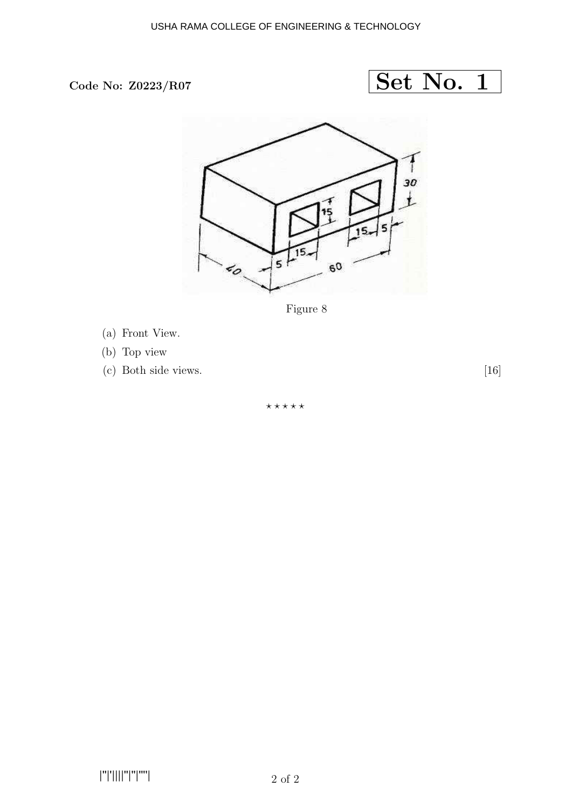



Figure 8

- (a) Front View.
- (b) Top view
- (c) Both side views. [16]

 $***$ \*\*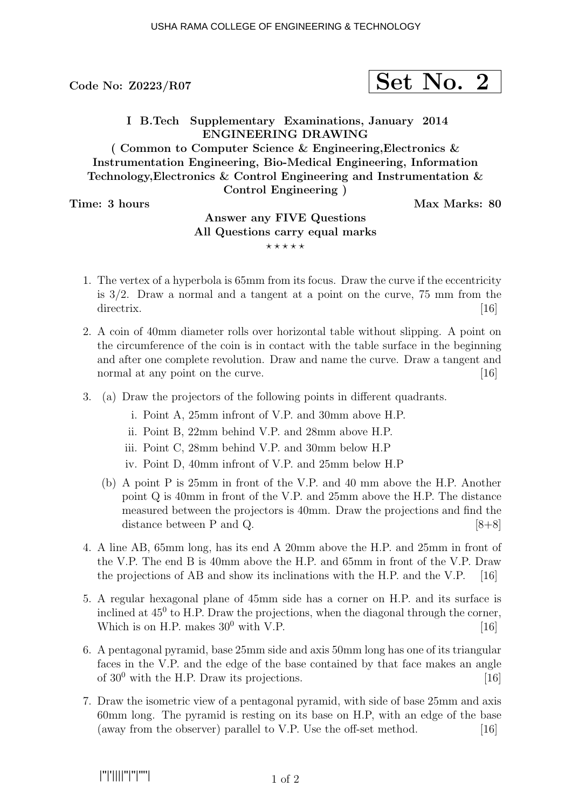# $\rm{Code}$  No: Z0223/R07  $\rm{Set}$   $\rm{Net}$   $\rm{No.}$  2

I B.Tech Supplementary Examinations, January 2014 ENGINEERING DRAWING

( Common to Computer Science & Engineering,Electronics & Instrumentation Engineering, Bio-Medical Engineering, Information Technology,Electronics & Control Engineering and Instrumentation & Control Engineering )

Time: 3 hours and the set of the Max Marks: 80

## Answer any FIVE Questions All Questions carry equal marks  $***$ \*\*

- 1. The vertex of a hyperbola is 65mm from its focus. Draw the curve if the eccentricity is 3/2. Draw a normal and a tangent at a point on the curve, 75 mm from the directrix.  $[16]$
- 2. A coin of 40mm diameter rolls over horizontal table without slipping. A point on the circumference of the coin is in contact with the table surface in the beginning and after one complete revolution. Draw and name the curve. Draw a tangent and normal at any point on the curve. [16]
- 3. (a) Draw the projectors of the following points in different quadrants.
	- i. Point A, 25mm infront of V.P. and 30mm above H.P.
	- ii. Point B, 22mm behind V.P. and 28mm above H.P.
	- iii. Point C, 28mm behind V.P. and 30mm below H.P
	- iv. Point D, 40mm infront of V.P. and 25mm below H.P
	- (b) A point P is 25mm in front of the V.P. and 40 mm above the H.P. Another point Q is 40mm in front of the V.P. and 25mm above the H.P. The distance measured between the projectors is 40mm. Draw the projections and find the distance between P and Q.  $[8+8]$
- 4. A line AB, 65mm long, has its end A 20mm above the H.P. and 25mm in front of the V.P. The end B is 40mm above the H.P. and 65mm in front of the V.P. Draw the projections of AB and show its inclinations with the H.P. and the V.P. [16]
- 5. A regular hexagonal plane of 45mm side has a corner on H.P. and its surface is inclined at  $45^{\circ}$  to H.P. Draw the projections, when the diagonal through the corner, Which is on H.P. makes  $30^0$  with V.P. [16]
- 6. A pentagonal pyramid, base 25mm side and axis 50mm long has one of its triangular faces in the V.P. and the edge of the base contained by that face makes an angle of  $30^0$  with the H.P. Draw its projections. [16]
- 7. Draw the isometric view of a pentagonal pyramid, with side of base 25mm and axis 60mm long. The pyramid is resting on its base on H.P, with an edge of the base (away from the observer) parallel to V.P. Use the off-set method. [16]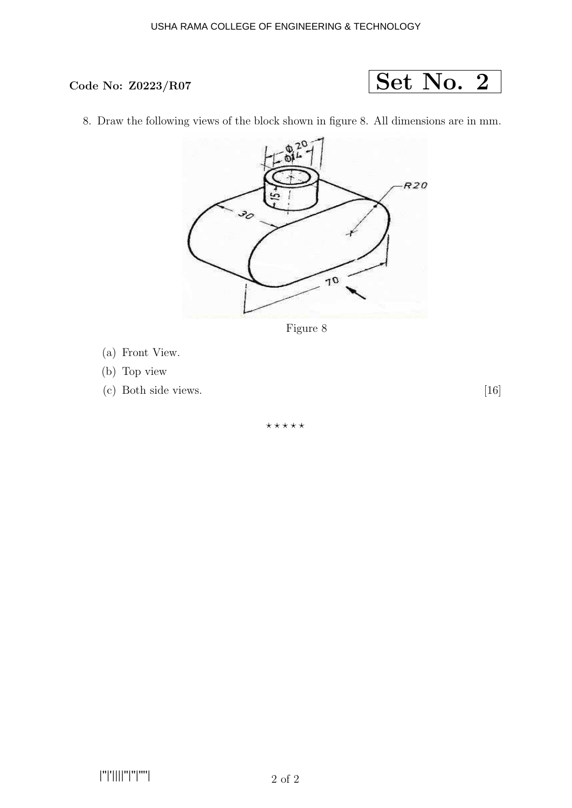### USHA RAMA COLLEGE OF ENGINEERING & TECHNOLOGY



8. Draw the following views of the block shown in figure 8. All dimensions are in mm.



Figure 8

- (a) Front View.
- (b) Top view
- (c) Both side views. [16]

 $***$ \*\*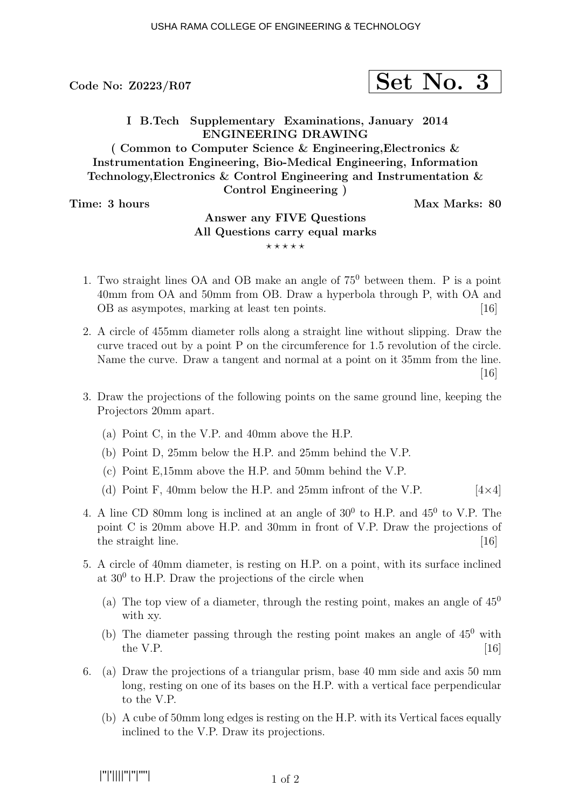# $\sigma$ Code No: Z0223/R07  $\vert$  Set No. 3

I B.Tech Supplementary Examinations, January 2014 ENGINEERING DRAWING

( Common to Computer Science & Engineering,Electronics & Instrumentation Engineering, Bio-Medical Engineering, Information Technology,Electronics & Control Engineering and Instrumentation & Control Engineering )

Time: 3 hours Max Marks: 80

## Answer any FIVE Questions All Questions carry equal marks  $***$ \*\*

- 1. Two straight lines OA and OB make an angle of 75<sup>0</sup> between them. P is a point 40mm from OA and 50mm from OB. Draw a hyperbola through P, with OA and OB as asympotes, marking at least ten points. [16]
- 2. A circle of 455mm diameter rolls along a straight line without slipping. Draw the curve traced out by a point P on the circumference for 1.5 revolution of the circle. Name the curve. Draw a tangent and normal at a point on it 35mm from the line. [16]
- 3. Draw the projections of the following points on the same ground line, keeping the Projectors 20mm apart.
	- (a) Point C, in the V.P. and 40mm above the H.P.
	- (b) Point D, 25mm below the H.P. and 25mm behind the V.P.
	- (c) Point E,15mm above the H.P. and 50mm behind the V.P.
	- (d) Point F, 40mm below the H.P. and 25mm infront of the V.P.  $[4\times4]$
- 4. A line CD 80mm long is inclined at an angle of  $30^0$  to H.P. and  $45^0$  to V.P. The point C is 20mm above H.P. and 30mm in front of V.P. Draw the projections of the straight line.  $[16]$
- 5. A circle of 40mm diameter, is resting on H.P. on a point, with its surface inclined at  $30^0$  to H.P. Draw the projections of the circle when
	- (a) The top view of a diameter, through the resting point, makes an angle of  $45^{\circ}$ with xy.
	- (b) The diameter passing through the resting point makes an angle of  $45^{\circ}$  with the V.P.  $[16]$
- 6. (a) Draw the projections of a triangular prism, base 40 mm side and axis 50 mm long, resting on one of its bases on the H.P. with a vertical face perpendicular to the V.P.
	- (b) A cube of 50mm long edges is resting on the H.P. with its Vertical faces equally inclined to the V.P. Draw its projections.

|''|'||||''|''|''''|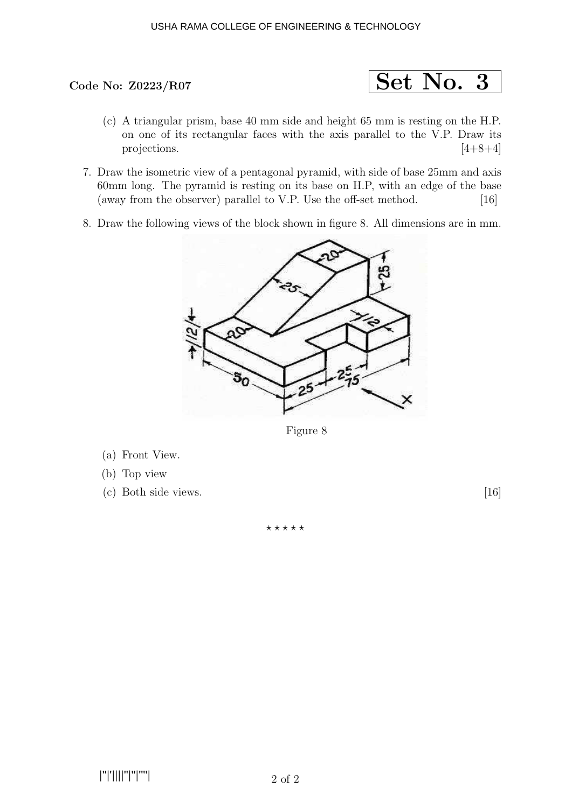### USHA RAMA COLLEGE OF ENGINEERING & TECHNOLOGY



- (c) A triangular prism, base 40 mm side and height 65 mm is resting on the H.P. on one of its rectangular faces with the axis parallel to the V.P. Draw its projections.  $[4+8+4]$
- 7. Draw the isometric view of a pentagonal pyramid, with side of base 25mm and axis 60mm long. The pyramid is resting on its base on H.P, with an edge of the base (away from the observer) parallel to V.P. Use the off-set method. [16]
- 8. Draw the following views of the block shown in figure 8. All dimensions are in mm.



Figure 8

- (a) Front View.
- (b) Top view
- (c) Both side views. [16]

⋆ ⋆ ⋆ ⋆ ⋆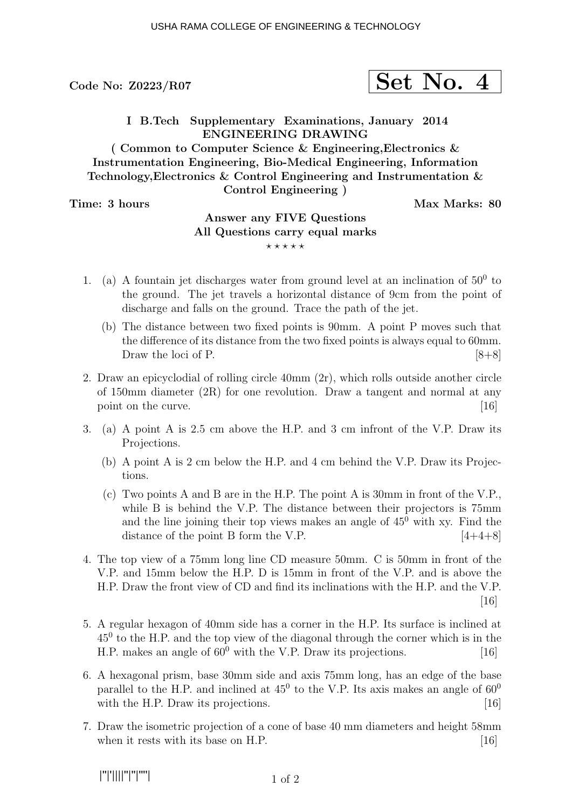# Code No:  $20223/R07$  Set No. 4

I B.Tech Supplementary Examinations, January 2014 ENGINEERING DRAWING

( Common to Computer Science & Engineering,Electronics & Instrumentation Engineering, Bio-Medical Engineering, Information Technology,Electronics & Control Engineering and Instrumentation & Control Engineering )

Time: 3 hours Max Marks: 80

## Answer any FIVE Questions All Questions carry equal marks  $***$ \*\*

- 1. (a) A fountain jet discharges water from ground level at an inclination of  $50<sup>0</sup>$  to the ground. The jet travels a horizontal distance of 9cm from the point of discharge and falls on the ground. Trace the path of the jet.
	- (b) The distance between two fixed points is 90mm. A point P moves such that the difference of its distance from the two fixed points is always equal to 60mm. Draw the loci of P.  $[8+8]$
- 2. Draw an epicyclodial of rolling circle 40mm (2r), which rolls outside another circle of 150mm diameter (2R) for one revolution. Draw a tangent and normal at any point on the curve. [16] point on the curve.
- 3. (a) A point A is 2.5 cm above the H.P. and 3 cm infront of the V.P. Draw its Projections.
	- (b) A point A is 2 cm below the H.P. and 4 cm behind the V.P. Draw its Projections.
	- (c) Two points A and B are in the H.P. The point A is 30mm in front of the V.P., while B is behind the V.P. The distance between their projectors is 75mm and the line joining their top views makes an angle of  $45<sup>0</sup>$  with xy. Find the distance of the point B form the V.P.  $[4+4+8]$
- 4. The top view of a 75mm long line CD measure 50mm. C is 50mm in front of the V.P. and 15mm below the H.P. D is 15mm in front of the V.P. and is above the H.P. Draw the front view of CD and find its inclinations with the H.P. and the V.P. [16]
- 5. A regular hexagon of 40mm side has a corner in the H.P. Its surface is inclined at 45<sup>0</sup> to the H.P. and the top view of the diagonal through the corner which is in the H.P. makes an angle of  $60^0$  with the V.P. Draw its projections. [16]
- 6. A hexagonal prism, base 30mm side and axis 75mm long, has an edge of the base parallel to the H.P. and inclined at  $45^{\circ}$  to the V.P. Its axis makes an angle of  $60^{\circ}$ with the H.P. Draw its projections. [16]
- 7. Draw the isometric projection of a cone of base 40 mm diameters and height 58mm when it rests with its base on H.P.  $[16]$

|''|'||||''|''|''''|